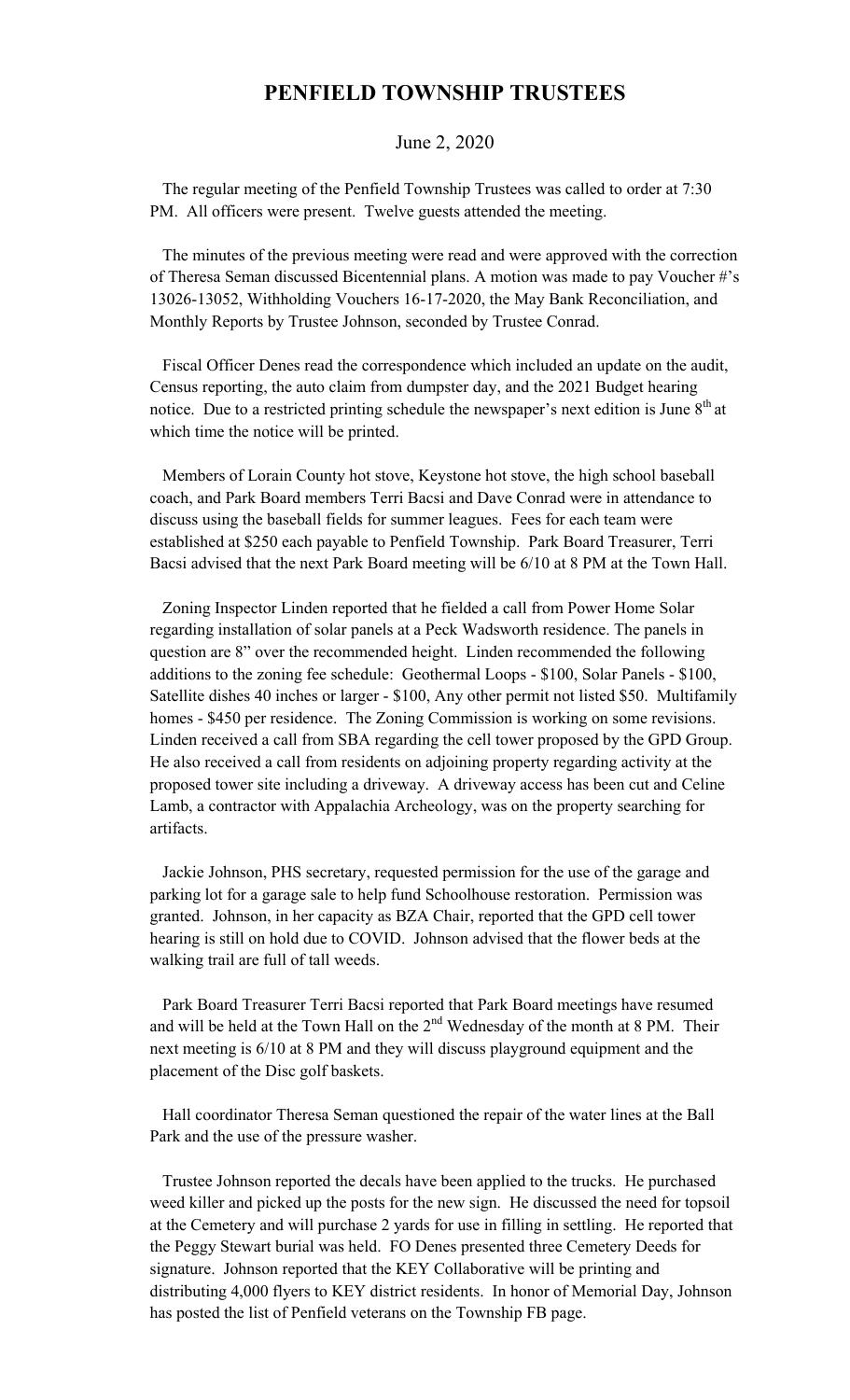## **PENFIELD TOWNSHIP TRUSTEES**

## June 2, 2020

 The regular meeting of the Penfield Township Trustees was called to order at 7:30 PM. All officers were present. Twelve guests attended the meeting.

 The minutes of the previous meeting were read and were approved with the correction of Theresa Seman discussed Bicentennial plans. A motion was made to pay Voucher #'s 13026-13052, Withholding Vouchers 16-17-2020, the May Bank Reconciliation, and Monthly Reports by Trustee Johnson, seconded by Trustee Conrad.

 Fiscal Officer Denes read the correspondence which included an update on the audit, Census reporting, the auto claim from dumpster day, and the 2021 Budget hearing notice. Due to a restricted printing schedule the newspaper's next edition is June  $8<sup>th</sup>$  at which time the notice will be printed.

 Members of Lorain County hot stove, Keystone hot stove, the high school baseball coach, and Park Board members Terri Bacsi and Dave Conrad were in attendance to discuss using the baseball fields for summer leagues. Fees for each team were established at \$250 each payable to Penfield Township. Park Board Treasurer, Terri Bacsi advised that the next Park Board meeting will be 6/10 at 8 PM at the Town Hall.

 Zoning Inspector Linden reported that he fielded a call from Power Home Solar regarding installation of solar panels at a Peck Wadsworth residence. The panels in question are 8" over the recommended height. Linden recommended the following additions to the zoning fee schedule: Geothermal Loops - \$100, Solar Panels - \$100, Satellite dishes 40 inches or larger - \$100, Any other permit not listed \$50. Multifamily homes - \$450 per residence. The Zoning Commission is working on some revisions. Linden received a call from SBA regarding the cell tower proposed by the GPD Group. He also received a call from residents on adjoining property regarding activity at the proposed tower site including a driveway. A driveway access has been cut and Celine Lamb, a contractor with Appalachia Archeology, was on the property searching for artifacts.

 Jackie Johnson, PHS secretary, requested permission for the use of the garage and parking lot for a garage sale to help fund Schoolhouse restoration. Permission was granted. Johnson, in her capacity as BZA Chair, reported that the GPD cell tower hearing is still on hold due to COVID. Johnson advised that the flower beds at the walking trail are full of tall weeds.

 Park Board Treasurer Terri Bacsi reported that Park Board meetings have resumed and will be held at the Town Hall on the  $2<sup>nd</sup>$  Wednesday of the month at 8 PM. Their next meeting is 6/10 at 8 PM and they will discuss playground equipment and the placement of the Disc golf baskets.

 Hall coordinator Theresa Seman questioned the repair of the water lines at the Ball Park and the use of the pressure washer.

 Trustee Johnson reported the decals have been applied to the trucks. He purchased weed killer and picked up the posts for the new sign. He discussed the need for topsoil at the Cemetery and will purchase 2 yards for use in filling in settling. He reported that the Peggy Stewart burial was held. FO Denes presented three Cemetery Deeds for signature. Johnson reported that the KEY Collaborative will be printing and distributing 4,000 flyers to KEY district residents. In honor of Memorial Day, Johnson has posted the list of Penfield veterans on the Township FB page.